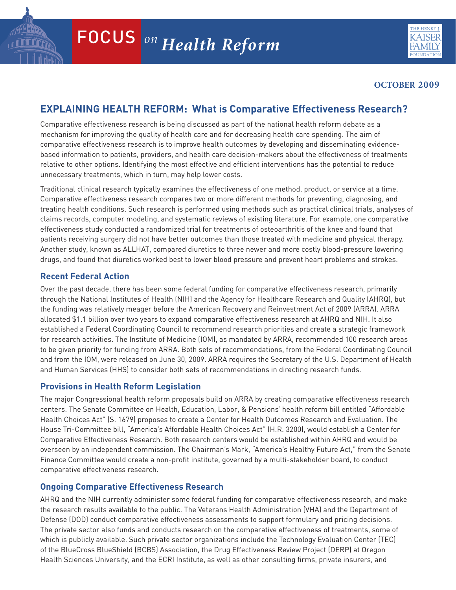

### **OCTOBER 2009**

# **Explaining Health Reform: What is Comparative Effectiveness Research?**

Comparative effectiveness research is being discussed as part of the national health reform debate as a mechanism for improving the quality of health care and for decreasing health care spending. The aim of comparative effectiveness research is to improve health outcomes by developing and disseminating evidencebased information to patients, providers, and health care decision-makers about the effectiveness of treatments relative to other options. Identifying the most effective and efficient interventions has the potential to reduce unnecessary treatments, which in turn, may help lower costs.

Traditional clinical research typically examines the effectiveness of one method, product, or service at a time. Comparative effectiveness research compares two or more different methods for preventing, diagnosing, and treating health conditions. Such research is performed using methods such as practical clinical trials, analyses of claims records, computer modeling, and systematic reviews of existing literature. For example, one comparative effectiveness study conducted a randomized trial for treatments of osteoarthritis of the knee and found that patients receiving surgery did not have better outcomes than those treated with medicine and physical therapy. Another study, known as ALLHAT, compared diuretics to three newer and more costly blood-pressure lowering drugs, and found that diuretics worked best to lower blood pressure and prevent heart problems and strokes.

## **Recent Federal Action**

Over the past decade, there has been some federal funding for comparative effectiveness research, primarily through the National Institutes of Health (NIH) and the Agency for Healthcare Research and Quality (AHRQ), but the funding was relatively meager before the American Recovery and Reinvestment Act of 2009 (ARRA). ARRA allocated \$1.1 billion over two years to expand comparative effectiveness research at AHRQ and NIH. It also established a Federal Coordinating Council to recommend research priorities and create a strategic framework for research activities. The Institute of Medicine (IOM), as mandated by ARRA, recommended 100 research areas to be given priority for funding from ARRA. Both sets of recommendations, from the Federal Coordinating Council and from the IOM, were released on June 30, 2009. ARRA requires the Secretary of the U.S. Department of Health and Human Services (HHS) to consider both sets of recommendations in directing research funds.

### **Provisions in Health Reform Legislation**

The major Congressional health reform proposals build on ARRA by creating comparative effectiveness research centers. The Senate Committee on Health, Education, Labor, & Pensions' health reform bill entitled "Affordable Health Choices Act" (S. 1679) proposes to create a Center for Health Outcomes Research and Evaluation. The House Tri-Committee bill, "America's Affordable Health Choices Act" (H.R. 3200), would establish a Center for Comparative Effectiveness Research. Both research centers would be established within AHRQ and would be overseen by an independent commission. The Chairman's Mark, "America's Healthy Future Act," from the Senate Finance Committee would create a non-profit institute, governed by a multi-stakeholder board, to conduct comparative effectiveness research.

### **Ongoing Comparative Effectiveness Research**

which is publicly available. Such private sector organizations include the Technology Evaluation Center (TEC) of the BlueCross BlueShield (BCBS) Association, the Drug Effectiveness Review Project (DERP) at Oregon Health Sciences University, and the ECRI Institute, as well as other consulting firms, private insurers, and AHRQ and the NIH currently administer some federal funding for comparative effectiveness research, and make the research results available to the public. The Veterans Health Administration (VHA) and the Department of Defense (DOD) conduct comparative effectiveness assessments to support formulary and pricing decisions. The private sector also funds and conducts research on the comparative effectiveness of treatments, some of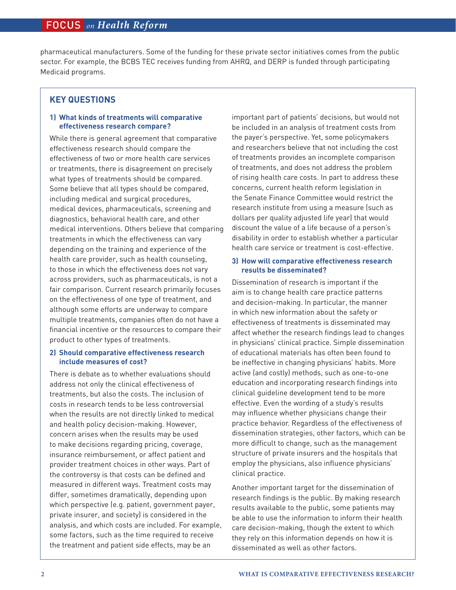pharmaceutical manufacturers. Some of the funding for these private sector initiatives comes from the public sector. For example, the BCBS TEC receives funding from AHRQ, and DERP is funded through participating Medicaid programs.

### **Key Questions**

### **1) What kinds of treatments will comparative effectiveness research compare?**

While there is general agreement that comparative effectiveness research should compare the effectiveness of two or more health care services or treatments, there is disagreement on precisely what types of treatments should be compared. Some believe that all types should be compared, including medical and surgical procedures, medical devices, pharmaceuticals, screening and diagnostics, behavioral health care, and other medical interventions. Others believe that comparing treatments in which the effectiveness can vary depending on the training and experience of the health care provider, such as health counseling, to those in which the effectiveness does not vary across providers, such as pharmaceuticals, is not a fair comparison. Current research primarily focuses on the effectiveness of one type of treatment, and although some efforts are underway to compare multiple treatments, companies often do not have a financial incentive or the resources to compare their product to other types of treatments.

### **2) Should comparative effectiveness research include measures of cost?**

There is debate as to whether evaluations should address not only the clinical effectiveness of treatments, but also the costs. The inclusion of costs in research tends to be less controversial when the results are not directly linked to medical and health policy decision-making. However, concern arises when the results may be used to make decisions regarding pricing, coverage, insurance reimbursement, or affect patient and provider treatment choices in other ways. Part of the controversy is that costs can be defined and measured in different ways. Treatment costs may differ, sometimes dramatically, depending upon which perspective (e.g. patient, government payer, private insurer, and society) is considered in the analysis, and which costs are included. For example, some factors, such as the time required to receive the treatment and patient side effects, may be an

important part of patients' decisions, but would not be included in an analysis of treatment costs from the payer's perspective. Yet, some policymakers and researchers believe that not including the cost of treatments provides an incomplete comparison of treatments, and does not address the problem of rising health care costs. In part to address these concerns, current health reform legislation in the Senate Finance Committee would restrict the research institute from using a measure (such as dollars per quality adjusted life year) that would discount the value of a life because of a person's disability in order to establish whether a particular health care service or treatment is cost-effective.

#### **3) How will comparative effectiveness research results be disseminated?**

Dissemination of research is important if the aim is to change health care practice patterns and decision-making. In particular, the manner in which new information about the safety or effectiveness of treatments is disseminated may affect whether the research findings lead to changes in physicians' clinical practice. Simple dissemination of educational materials has often been found to be ineffective in changing physicians' habits. More active (and costly) methods, such as one-to-one education and incorporating research findings into clinical guideline development tend to be more effective. Even the wording of a study's results may influence whether physicians change their practice behavior. Regardless of the effectiveness of dissemination strategies, other factors, which can be more difficult to change, such as the management structure of private insurers and the hospitals that employ the physicians, also influence physicians' clinical practice.

Another important target for the dissemination of research findings is the public. By making research results available to the public, some patients may be able to use the information to inform their health care decision-making, though the extent to which they rely on this information depends on how it is disseminated as well as other factors.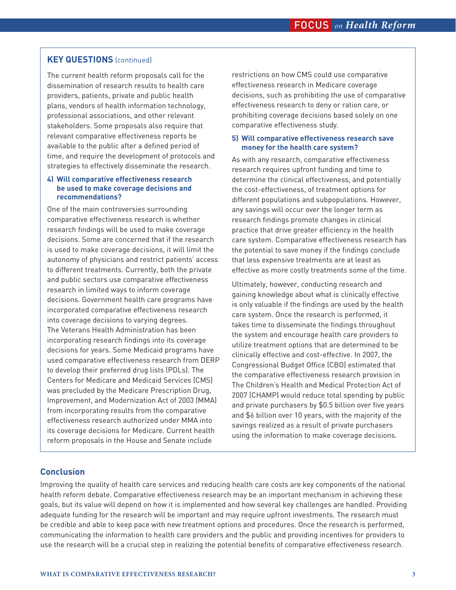### **Key Questions** (continued)

The current health reform proposals call for the dissemination of research results to health care providers, patients, private and public health plans, vendors of health information technology, professional associations, and other relevant stakeholders. Some proposals also require that relevant comparative effectiveness reports be available to the public after a defined period of time, and require the development of protocols and strategies to effectively disseminate the research.

#### **4) Will comparative effectiveness research be used to make coverage decisions and recommendations?**

One of the main controversies surrounding comparative effectiveness research is whether research findings will be used to make coverage decisions. Some are concerned that if the research is used to make coverage decisions, it will limit the autonomy of physicians and restrict patients' access to different treatments. Currently, both the private and public sectors use comparative effectiveness research in limited ways to inform coverage decisions. Government health care programs have incorporated comparative effectiveness research into coverage decisions to varying degrees. The Veterans Health Administration has been incorporating research findings into its coverage decisions for years. Some Medicaid programs have used comparative effectiveness research from DERP to develop their preferred drug lists (PDLs). The Centers for Medicare and Medicaid Services (CMS) was precluded by the Medicare Prescription Drug, Improvement, and Modernization Act of 2003 (MMA) from incorporating results from the comparative effectiveness research authorized under MMA into its coverage decisions for Medicare. Current health reform proposals in the House and Senate include

restrictions on how CMS could use comparative effectiveness research in Medicare coverage decisions, such as prohibiting the use of comparative effectiveness research to deny or ration care, or prohibiting coverage decisions based solely on one comparative effectiveness study.

#### **5) Will comparative effectiveness research save money for the health care system?**

As with any research, comparative effectiveness research requires upfront funding and time to determine the clinical effectiveness, and potentially the cost-effectiveness, of treatment options for different populations and subpopulations. However, any savings will occur over the longer term as research findings promote changes in clinical practice that drive greater efficiency in the health care system. Comparative effectiveness research has the potential to save money if the findings conclude that less expensive treatments are at least as effective as more costly treatments some of the time.

Ultimately, however, conducting research and gaining knowledge about what is clinically effective is only valuable if the findings are used by the health care system. Once the research is performed, it takes time to disseminate the findings throughout the system and encourage health care providers to utilize treatment options that are determined to be clinically effective and cost-effective. In 2007, the Congressional Budget Office (CBO) estimated that the comparative effectiveness research provision in The Children's Health and Medical Protection Act of 2007 (CHAMP) would reduce total spending by public and private purchasers by \$0.5 billion over five years and \$6 billion over 10 years, with the majority of the savings realized as a result of private purchasers using the information to make coverage decisions.

### **Conclusion**

Improving the quality of health care services and reducing health care costs are key components of the national health reform debate. Comparative effectiveness research may be an important mechanism in achieving these goals, but its value will depend on how it is implemented and how several key challenges are handled. Providing adequate funding for the research will be important and may require upfront investments. The research must be credible and able to keep pace with new treatment options and procedures. Once the research is performed, communicating the information to health care providers and the public and providing incentives for providers to use the research will be a crucial step in realizing the potential benefits of comparative effectiveness research.